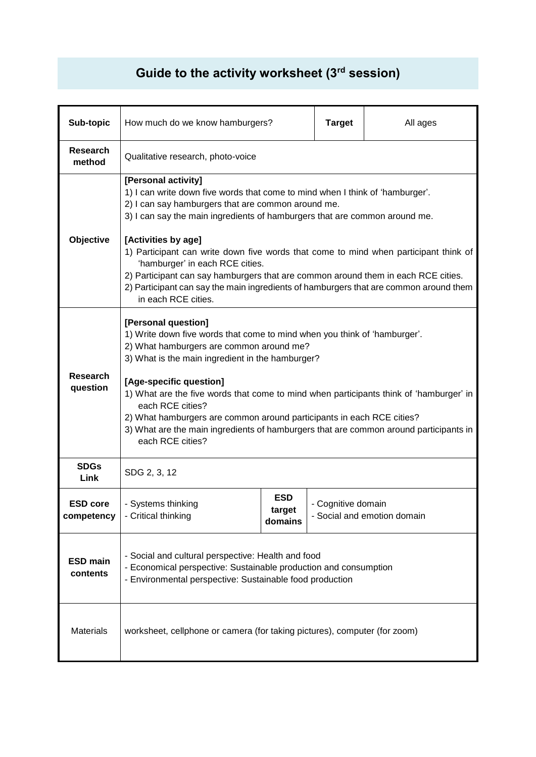## **Guide to the activity worksheet (3rd session)**

| Sub-topic                     | How much do we know hamburgers?                                                                                                                                                                                                                                                                                                                                                                                                                                                                                                                                                                 |                                 | <b>Target</b>      | All ages                    |
|-------------------------------|-------------------------------------------------------------------------------------------------------------------------------------------------------------------------------------------------------------------------------------------------------------------------------------------------------------------------------------------------------------------------------------------------------------------------------------------------------------------------------------------------------------------------------------------------------------------------------------------------|---------------------------------|--------------------|-----------------------------|
| <b>Research</b><br>method     | Qualitative research, photo-voice                                                                                                                                                                                                                                                                                                                                                                                                                                                                                                                                                               |                                 |                    |                             |
| Objective                     | [Personal activity]<br>1) I can write down five words that come to mind when I think of 'hamburger'.<br>2) I can say hamburgers that are common around me.<br>3) I can say the main ingredients of hamburgers that are common around me.<br>[Activities by age]<br>1) Participant can write down five words that come to mind when participant think of<br>'hamburger' in each RCE cities.<br>2) Participant can say hamburgers that are common around them in each RCE cities.<br>2) Participant can say the main ingredients of hamburgers that are common around them<br>in each RCE cities. |                                 |                    |                             |
| Research<br>question          | [Personal question]<br>1) Write down five words that come to mind when you think of 'hamburger'.<br>2) What hamburgers are common around me?<br>3) What is the main ingredient in the hamburger?<br>[Age-specific question]<br>1) What are the five words that come to mind when participants think of 'hamburger' in<br>each RCE cities?<br>2) What hamburgers are common around participants in each RCE cities?<br>3) What are the main ingredients of hamburgers that are common around participants in<br>each RCE cities?                                                                 |                                 |                    |                             |
| <b>SDGs</b><br>Link           | SDG 2, 3, 12                                                                                                                                                                                                                                                                                                                                                                                                                                                                                                                                                                                    |                                 |                    |                             |
| <b>ESD core</b><br>competency | - Systems thinking<br>- Critical thinking                                                                                                                                                                                                                                                                                                                                                                                                                                                                                                                                                       | <b>ESD</b><br>target<br>domains | - Cognitive domain | - Social and emotion domain |
| <b>ESD main</b><br>contents   | - Social and cultural perspective: Health and food<br>- Economical perspective: Sustainable production and consumption<br>- Environmental perspective: Sustainable food production                                                                                                                                                                                                                                                                                                                                                                                                              |                                 |                    |                             |
| <b>Materials</b>              | worksheet, cellphone or camera (for taking pictures), computer (for zoom)                                                                                                                                                                                                                                                                                                                                                                                                                                                                                                                       |                                 |                    |                             |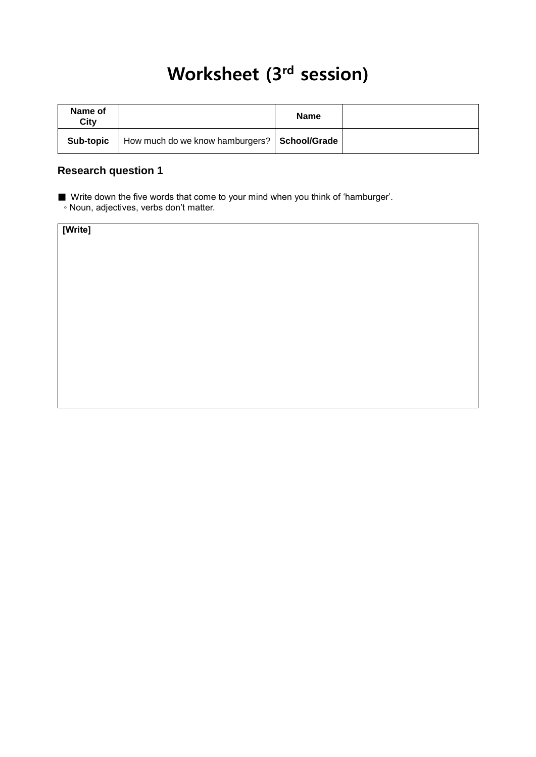# Worksheet (3<sup>rd</sup> session)

| Name of<br>City |                                                | <b>Name</b> |  |
|-----------------|------------------------------------------------|-------------|--|
| Sub-topic       | How much do we know hamburgers?   School/Grade |             |  |

#### **Research question 1**

■ Write down the five words that come to your mind when you think of 'hamburger'.

◦ Noun, adjectives, verbs don't matter.

| [Write] |  |  |
|---------|--|--|
|         |  |  |
|         |  |  |
|         |  |  |
|         |  |  |
|         |  |  |
|         |  |  |
|         |  |  |
|         |  |  |
|         |  |  |
|         |  |  |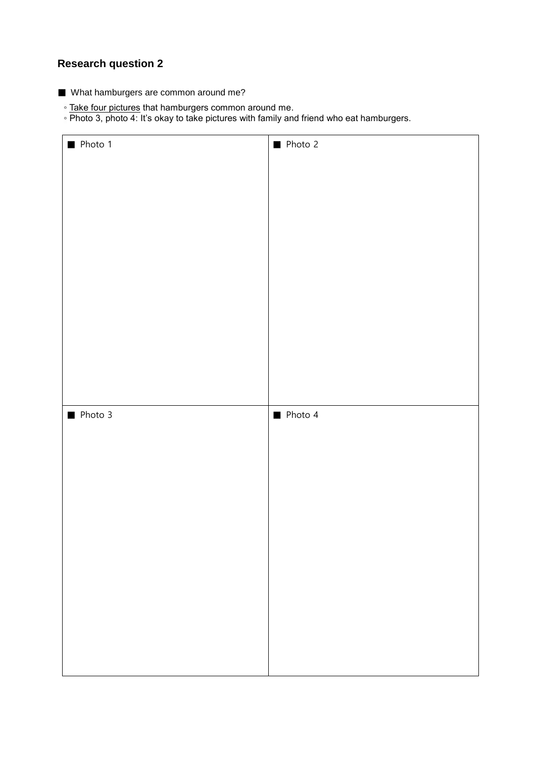### **Research question 2**

- What hamburgers are common around me?
	- Take four pictures that hamburgers common around me.
	- Photo 3, photo 4: It's okay to take pictures with family and friend who eat hamburgers.

| Photo 1 | Photo 2 |
|---------|---------|
|         |         |
|         |         |
|         |         |
|         |         |
|         |         |
|         |         |
|         |         |
|         |         |
|         |         |
|         |         |
| Ploto 3 | Photo 4 |
|         |         |
|         |         |
|         |         |
|         |         |
|         |         |
|         |         |
|         |         |
|         |         |
|         |         |